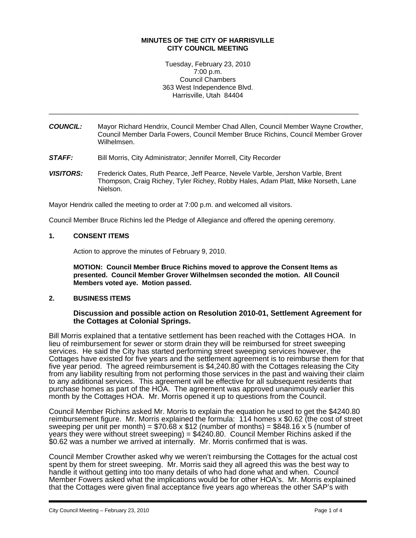### **MINUTES OF THE CITY OF HARRISVILLE CITY COUNCIL MEETING**

Tuesday, February 23, 2010 7:00 p.m. Council Chambers 363 West Independence Blvd. Harrisville, Utah 84404

*COUNCIL:* Mayor Richard Hendrix, Council Member Chad Allen, Council Member Wayne Crowther, Council Member Darla Fowers, Council Member Bruce Richins, Council Member Grover Wilhelmsen.

\_\_\_\_\_\_\_\_\_\_\_\_\_\_\_\_\_\_\_\_\_\_\_\_\_\_\_\_\_\_\_\_\_\_\_\_\_\_\_\_\_\_\_\_\_\_\_\_\_\_\_\_\_\_\_\_\_\_\_\_\_\_\_\_\_\_\_\_\_\_\_\_\_\_\_\_\_\_\_\_\_\_

- **STAFF:** Bill Morris, City Administrator; Jennifer Morrell, City Recorder
- *VISITORS:* Frederick Oates, Ruth Pearce, Jeff Pearce, Nevele Varble, Jershon Varble, Brent Thompson, Craig Richey, Tyler Richey, Robby Hales, Adam Platt, Mike Norseth, Lane Nielson.

Mayor Hendrix called the meeting to order at 7:00 p.m. and welcomed all visitors.

Council Member Bruce Richins led the Pledge of Allegiance and offered the opening ceremony.

## **1. CONSENT ITEMS**

Action to approve the minutes of February 9, 2010.

**MOTION: Council Member Bruce Richins moved to approve the Consent Items as presented. Council Member Grover Wilhelmsen seconded the motion. All Council Members voted aye. Motion passed.** 

### **2. BUSINESS ITEMS**

### **Discussion and possible action on Resolution 2010-01, Settlement Agreement for the Cottages at Colonial Springs.**

Bill Morris explained that a tentative settlement has been reached with the Cottages HOA. In lieu of reimbursement for sewer or storm drain they will be reimbursed for street sweeping services. He said the City has started performing street sweeping services however, the Cottages have existed for five years and the settlement agreement is to reimburse them for that five year period. The agreed reimbursement is \$4,240.80 with the Cottages releasing the City from any liability resulting from not performing those services in the past and waiving their claim to any additional services. This agreement will be effective for all subsequent residents that purchase homes as part of the HOA. The agreement was approved unanimously earlier this month by the Cottages HOA. Mr. Morris opened it up to questions from the Council.

Council Member Richins asked Mr. Morris to explain the equation he used to get the \$4240.80 reimbursement figure. Mr. Morris explained the formula: 114 homes x \$0.62 (the cost of street sweeping per unit per month) = \$70.68 x \$12 (number of months) = \$848.16 x 5 (number of years they were without street sweeping) = \$4240.80. Council Member Richins asked if the \$0.62 was a number we arrived at internally. Mr. Morris confirmed that is was.

Council Member Crowther asked why we weren't reimbursing the Cottages for the actual cost spent by them for street sweeping. Mr. Morris said they all agreed this was the best way to handle it without getting into too many details of who had done what and when. Council Member Fowers asked what the implications would be for other HOA's. Mr. Morris explained that the Cottages were given final acceptance five years ago whereas the other SAP's with

i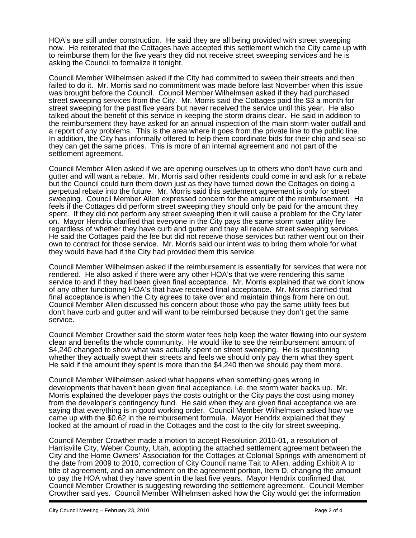HOA's are still under construction. He said they are all being provided with street sweeping now. He reiterated that the Cottages have accepted this settlement which the City came up with to reimburse them for the five years they did not receive street sweeping services and he is asking the Council to formalize it tonight.

Council Member Wilhelmsen asked if the City had committed to sweep their streets and then failed to do it. Mr. Morris said no commitment was made before last November when this issue was brought before the Council. Council Member Wilhelmsen asked if they had purchased street sweeping services from the City. Mr. Morris said the Cottages paid the \$3 a month for street sweeping for the past five years but never received the service until this year. He also talked about the benefit of this service in keeping the storm drains clear. He said in addition to the reimbursement they have asked for an annual inspection of the main storm water outfall and a report of any problems. This is the area where it goes from the private line to the public line. In addition, the City has informally offered to help them coordinate bids for their chip and seal so they can get the same prices. This is more of an internal agreement and not part of the settlement agreement.

Council Member Allen asked if we are opening ourselves up to others who don't have curb and gutter and will want a rebate. Mr. Morris said other residents could come in and ask for a rebate but the Council could turn them down just as they have turned down the Cottages on doing a perpetual rebate into the future. Mr. Morris said this settlement agreement is only for street sweeping. Council Member Allen expressed concern for the amount of the reimbursement. He feels if the Cottages did perform street sweeping they should only be paid for the amount they spent. If they did not perform any street sweeping then it will cause a problem for the City later on. Mayor Hendrix clarified that everyone in the City pays the same storm water utility fee regardless of whether they have curb and gutter and they all receive street sweeping services. He said the Cottages paid the fee but did not receive those services but rather went out on their own to contract for those service. Mr. Morris said our intent was to bring them whole for what they would have had if the City had provided them this service.

Council Member Wilhelmsen asked if the reimbursement is essentially for services that were not rendered. He also asked if there were any other HOA's that we were rendering this same service to and if they had been given final acceptance. Mr. Morris explained that we don't know of any other functioning HOA's that have received final acceptance. Mr. Morris clarified that final acceptance is when the City agrees to take over and maintain things from here on out. Council Member Allen discussed his concern about those who pay the same utility fees but don't have curb and gutter and will want to be reimbursed because they don't get the same service.

Council Member Crowther said the storm water fees help keep the water flowing into our system clean and benefits the whole community. He would like to see the reimbursement amount of \$4,240 changed to show what was actually spent on street sweeping. He is questioning whether they actually swept their streets and feels we should only pay them what they spent. He said if the amount they spent is more than the \$4,240 then we should pay them more.

Council Member Wilhelmsen asked what happens when something goes wrong in developments that haven't been given final acceptance, i.e. the storm water backs up. Mr. Morris explained the developer pays the costs outright or the City pays the cost using money from the developer's contingency fund. He said when they are given final acceptance we are saying that everything is in good working order. Council Member Wilhelmsen asked how we came up with the \$0.62 in the reimbursement formula. Mayor Hendrix explained that they looked at the amount of road in the Cottages and the cost to the city for street sweeping.

Council Member Crowther made a motion to accept Resolution 2010-01, a resolution of Harrisville City, Weber County, Utah, adopting the attached settlement agreement between the City and the Home Owners' Association for the Cottages at Colonial Springs with amendment of the date from 2009 to 2010, correction of City Council name Tait to Allen, adding Exhibit A to title of agreement, and an amendment on the agreement portion, Item D, changing the amount to pay the HOA what they have spent in the last five years. Mayor Hendrix confirmed that Council Member Crowther is suggesting rewording the settlement agreement. Council Member Crowther said yes. Council Member Wilhelmsen asked how the City would get the information

i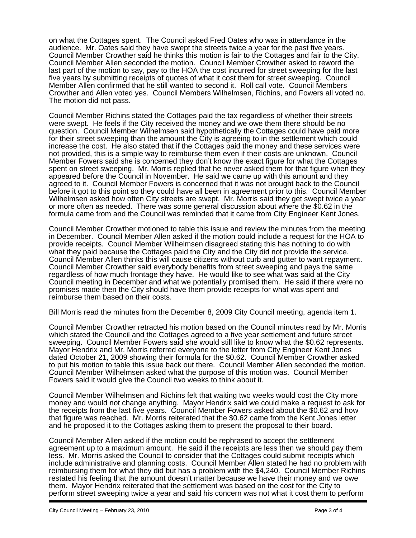on what the Cottages spent. The Council asked Fred Oates who was in attendance in the audience. Mr. Oates said they have swept the streets twice a year for the past five years. Council Member Crowther said he thinks this motion is fair to the Cottages and fair to the City. Council Member Allen seconded the motion. Council Member Crowther asked to reword the last part of the motion to say, pay to the HOA the cost incurred for street sweeping for the last five years by submitting receipts of quotes of what it cost them for street sweeping. Council Member Allen confirmed that he still wanted to second it. Roll call vote. Council Members Crowther and Allen voted yes. Council Members Wilhelmsen, Richins, and Fowers all voted no. The motion did not pass.

Council Member Richins stated the Cottages paid the tax regardless of whether their streets were swept. He feels if the City received the money and we owe them there should be no question. Council Member Wilhelmsen said hypothetically the Cottages could have paid more for their street sweeping than the amount the City is agreeing to in the settlement which could increase the cost. He also stated that if the Cottages paid the money and these services were not provided, this is a simple way to reimburse them even if their costs are unknown. Council Member Fowers said she is concerned they don't know the exact figure for what the Cottages spent on street sweeping. Mr. Morris replied that he never asked them for that figure when they appeared before the Council in November. He said we came up with this amount and they agreed to it. Council Member Fowers is concerned that it was not brought back to the Council before it got to this point so they could have all been in agreement prior to this. Council Member Wilhelmsen asked how often City streets are swept. Mr. Morris said they get swept twice a year or more often as needed. There was some general discussion about where the \$0.62 in the formula came from and the Council was reminded that it came from City Engineer Kent Jones.

Council Member Crowther motioned to table this issue and review the minutes from the meeting in December. Council Member Allen asked if the motion could include a request for the HOA to provide receipts. Council Member Wilhelmsen disagreed stating this has nothing to do with what they paid because the Cottages paid the City and the City did not provide the service. Council Member Allen thinks this will cause citizens without curb and gutter to want repayment. Council Member Crowther said everybody benefits from street sweeping and pays the same regardless of how much frontage they have. He would like to see what was said at the City Council meeting in December and what we potentially promised them. He said if there were no promises made then the City should have them provide receipts for what was spent and reimburse them based on their costs.

Bill Morris read the minutes from the December 8, 2009 City Council meeting, agenda item 1.

Council Member Crowther retracted his motion based on the Council minutes read by Mr. Morris which stated the Council and the Cottages agreed to a five year settlement and future street sweeping. Council Member Fowers said she would still like to know what the \$0.62 represents. Mayor Hendrix and Mr. Morris referred everyone to the letter from City Engineer Kent Jones dated October 21, 2009 showing their formula for the \$0.62. Council Member Crowther asked to put his motion to table this issue back out there. Council Member Allen seconded the motion. Council Member Wilhelmsen asked what the purpose of this motion was. Council Member Fowers said it would give the Council two weeks to think about it.

Council Member Wilhelmsen and Richins felt that waiting two weeks would cost the City more money and would not change anything. Mayor Hendrix said we could make a request to ask for the receipts from the last five years. Council Member Fowers asked about the \$0.62 and how that figure was reached. Mr. Morris reiterated that the \$0.62 came from the Kent Jones letter and he proposed it to the Cottages asking them to present the proposal to their board.

Council Member Allen asked if the motion could be rephrased to accept the settlement agreement up to a maximum amount. He said if the receipts are less then we should pay them less. Mr. Morris asked the Council to consider that the Cottages could submit receipts which include administrative and planning costs. Council Member Allen stated he had no problem with reimbursing them for what they did but has a problem with the \$4,240. Council Member Richins restated his feeling that the amount doesn't matter because we have their money and we owe them. Mayor Hendrix reiterated that the settlement was based on the cost for the City to perform street sweeping twice a year and said his concern was not what it cost them to perform

i